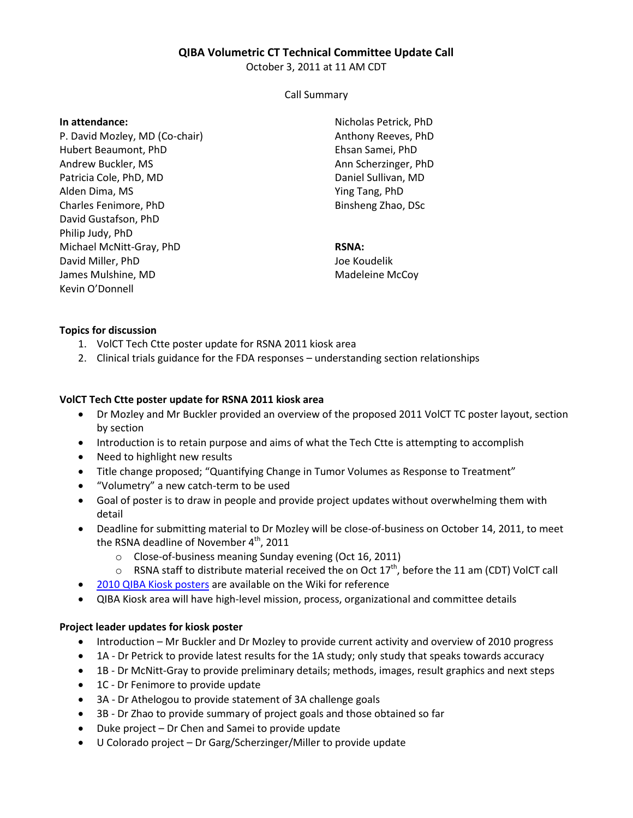## **QIBA Volumetric CT Technical Committee Update Call**

October 3, 2011 at 11 AM CDT

#### Call Summary

#### **In attendance:**

P. David Mozley, MD (Co-chair) Hubert Beaumont, PhD Andrew Buckler, MS Patricia Cole, PhD, MD Alden Dima, MS Charles Fenimore, PhD David Gustafson, PhD Philip Judy, PhD Michael McNitt-Gray, PhD David Miller, PhD James Mulshine, MD Kevin O'Donnell

Nicholas Petrick, PhD Anthony Reeves, PhD Ehsan Samei, PhD Ann Scherzinger, PhD Daniel Sullivan, MD Ying Tang, PhD Binsheng Zhao, DSc

# **RSNA:**

Joe Koudelik Madeleine McCoy

## **Topics for discussion**

- 1. VolCT Tech Ctte poster update for RSNA 2011 kiosk area
- 2. Clinical trials guidance for the FDA responses understanding section relationships

### **VolCT Tech Ctte poster update for RSNA 2011 kiosk area**

- Dr Mozley and Mr Buckler provided an overview of the proposed 2011 VolCT TC poster layout, section by section
- Introduction is to retain purpose and aims of what the Tech Ctte is attempting to accomplish
- Need to highlight new results
- Title change proposed; "Quantifying Change in Tumor Volumes as Response to Treatment"
- "Volumetry" a new catch-term to be used
- Goal of poster is to draw in people and provide project updates without overwhelming them with detail
- Deadline for submitting material to Dr Mozley will be close-of-business on October 14, 2011, to meet the RSNA deadline of November  $4^{\text{th}}$ , 2011
	- o Close-of-business meaning Sunday evening (Oct 16, 2011)
	- $\circ$  RSNA staff to distribute material received the on Oct 17<sup>th</sup>, before the 11 am (CDT) VolCT call
- [2010 QIBA Kiosk posters](http://qibawiki.rsna.org/index.php?title=QIBA_and_UPICT_posters_from_RSNA_2010_Annual_Meeting) are available on the Wiki for reference
- QIBA Kiosk area will have high-level mission, process, organizational and committee details

### **Project leader updates for kiosk poster**

- Introduction Mr Buckler and Dr Mozley to provide current activity and overview of 2010 progress
- 1A Dr Petrick to provide latest results for the 1A study; only study that speaks towards accuracy
- 1B Dr McNitt-Gray to provide preliminary details; methods, images, result graphics and next steps
- 1C Dr Fenimore to provide update
- 3A Dr Athelogou to provide statement of 3A challenge goals
- 3B Dr Zhao to provide summary of project goals and those obtained so far
- Duke project Dr Chen and Samei to provide update
- U Colorado project Dr Garg/Scherzinger/Miller to provide update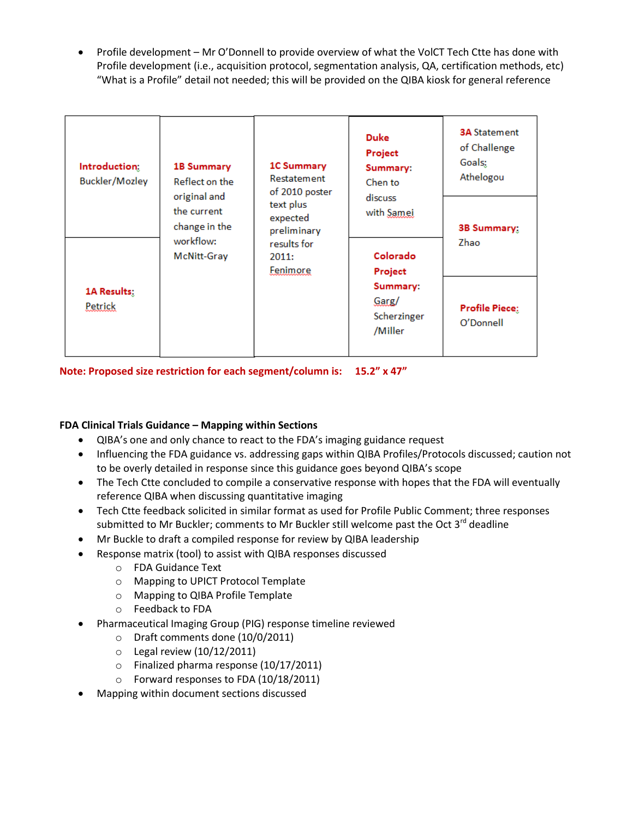Profile development – Mr O'Donnell to provide overview of what the VolCT Tech Ctte has done with Profile development (i.e., acquisition protocol, segmentation analysis, QA, certification methods, etc) "What is a Profile" detail not needed; this will be provided on the QIBA kiosk for general reference

| Introduction:<br>Buckler/Mozley | <b>1B Summary</b><br>Reflect on the<br>original and<br>the current<br>change in the<br>workflow:<br>McNitt-Gray<br>1A Results:<br>Petrick | <b>1C Summary</b><br>Restatement<br>of 2010 poster<br>text plus<br>expected<br>preliminary<br>results for<br>2011:<br>Fenimore | <b>Duke</b><br>Project<br>Summary:<br>Chen to<br>discuss<br>with Samei<br>Colorado<br>Project<br>Summary:<br>Garg/<br>Scherzinger<br>/Miller | <b>3A Statement</b><br>of Challenge<br>Goals;<br>Athelogou |
|---------------------------------|-------------------------------------------------------------------------------------------------------------------------------------------|--------------------------------------------------------------------------------------------------------------------------------|----------------------------------------------------------------------------------------------------------------------------------------------|------------------------------------------------------------|
|                                 |                                                                                                                                           |                                                                                                                                |                                                                                                                                              | <b>3B Summary:</b><br>Zhao                                 |
|                                 |                                                                                                                                           |                                                                                                                                |                                                                                                                                              | <b>Profile Piece:</b><br>O'Donnell                         |

**Note: Proposed size restriction for each segment/column is: 15.2" x 47"**

# **FDA Clinical Trials Guidance – Mapping within Sections**

- QIBA's one and only chance to react to the FDA's imaging guidance request
- Influencing the FDA guidance vs. addressing gaps within QIBA Profiles/Protocols discussed; caution not to be overly detailed in response since this guidance goes beyond QIBA's scope
- The Tech Ctte concluded to compile a conservative response with hopes that the FDA will eventually reference QIBA when discussing quantitative imaging
- Tech Ctte feedback solicited in similar format as used for Profile Public Comment; three responses submitted to Mr Buckler; comments to Mr Buckler still welcome past the Oct  $3^{rd}$  deadline
- Mr Buckle to draft a compiled response for review by QIBA leadership
- Response matrix (tool) to assist with QIBA responses discussed
	- o FDA Guidance Text
	- o Mapping to UPICT Protocol Template
	- o Mapping to QIBA Profile Template
	- o Feedback to FDA
- Pharmaceutical Imaging Group (PIG) response timeline reviewed
	- o Draft comments done (10/0/2011)
	- $\circ$  Legal review (10/12/2011)
	- o Finalized pharma response (10/17/2011)
	- o Forward responses to FDA (10/18/2011)
- Mapping within document sections discussed